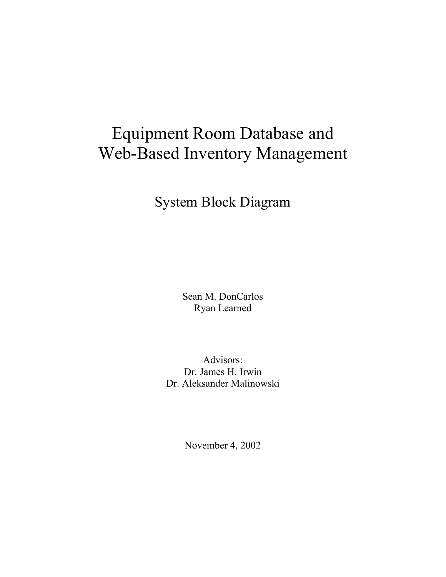# Equipment Room Database and Web-Based Inventory Management

System Block Diagram

Sean M. DonCarlos Ryan Learned

Advisors: Dr. James H. Irwin Dr. Aleksander Malinowski

November 4, 2002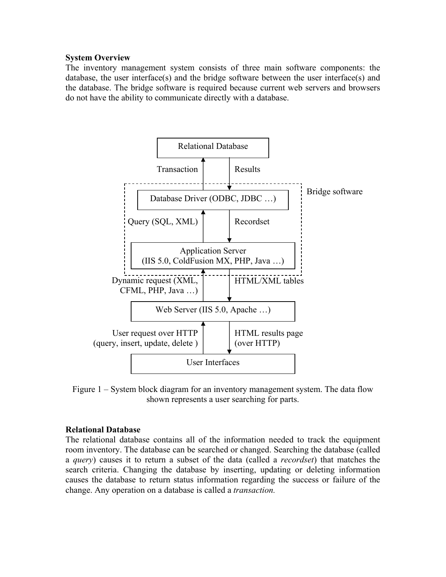#### **System Overview**

The inventory management system consists of three main software components: the database, the user interface(s) and the bridge software between the user interface(s) and the database. The bridge software is required because current web servers and browsers do not have the ability to communicate directly with a database.



Figure 1 – System block diagram for an inventory management system. The data flow shown represents a user searching for parts.

#### **Relational Database**

The relational database contains all of the information needed to track the equipment room inventory. The database can be searched or changed. Searching the database (called a *query*) causes it to return a subset of the data (called a *recordset*) that matches the search criteria. Changing the database by inserting, updating or deleting information causes the database to return status information regarding the success or failure of the change. Any operation on a database is called a *transaction.*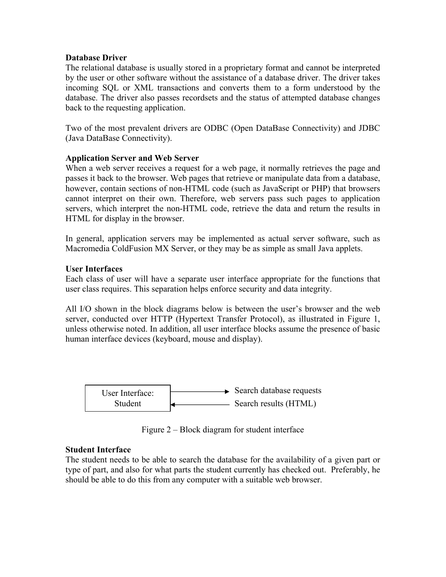#### **Database Driver**

The relational database is usually stored in a proprietary format and cannot be interpreted by the user or other software without the assistance of a database driver. The driver takes incoming SQL or XML transactions and converts them to a form understood by the database. The driver also passes recordsets and the status of attempted database changes back to the requesting application.

Two of the most prevalent drivers are ODBC (Open DataBase Connectivity) and JDBC (Java DataBase Connectivity).

## **Application Server and Web Server**

When a web server receives a request for a web page, it normally retrieves the page and passes it back to the browser. Web pages that retrieve or manipulate data from a database, however, contain sections of non-HTML code (such as JavaScript or PHP) that browsers cannot interpret on their own. Therefore, web servers pass such pages to application servers, which interpret the non-HTML code, retrieve the data and return the results in HTML for display in the browser.

In general, application servers may be implemented as actual server software, such as Macromedia ColdFusion MX Server, or they may be as simple as small Java applets.

## **User Interfaces**

Each class of user will have a separate user interface appropriate for the functions that user class requires. This separation helps enforce security and data integrity.

All I/O shown in the block diagrams below is between the user's browser and the web server, conducted over HTTP (Hypertext Transfer Protocol), as illustrated in Figure 1, unless otherwise noted. In addition, all user interface blocks assume the presence of basic human interface devices (keyboard, mouse and display).



Figure 2 – Block diagram for student interface

## **Student Interface**

The student needs to be able to search the database for the availability of a given part or type of part, and also for what parts the student currently has checked out. Preferably, he should be able to do this from any computer with a suitable web browser.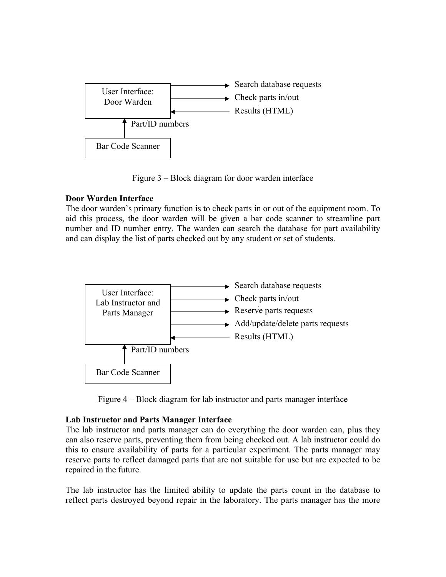

Figure 3 – Block diagram for door warden interface

# **Door Warden Interface**

The door warden's primary function is to check parts in or out of the equipment room. To aid this process, the door warden will be given a bar code scanner to streamline part number and ID number entry. The warden can search the database for part availability and can display the list of parts checked out by any student or set of students.



Figure 4 – Block diagram for lab instructor and parts manager interface

## **Lab Instructor and Parts Manager Interface**

The lab instructor and parts manager can do everything the door warden can, plus they can also reserve parts, preventing them from being checked out. A lab instructor could do this to ensure availability of parts for a particular experiment. The parts manager may reserve parts to reflect damaged parts that are not suitable for use but are expected to be repaired in the future.

The lab instructor has the limited ability to update the parts count in the database to reflect parts destroyed beyond repair in the laboratory. The parts manager has the more